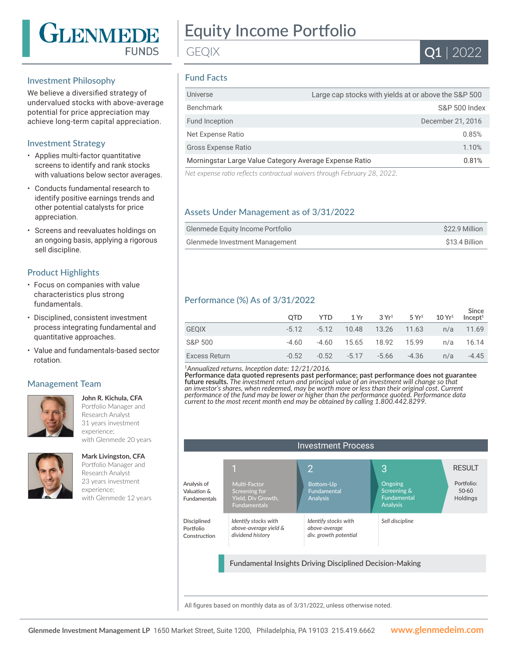

# Equity Income Portfolio

Q1 | 2022

## Investment Philosophy

We believe a diversified strategy of undervalued stocks with above-average potential for price appreciation may achieve long-term capital appreciation.

## Investment Strategy

- Applies multi-factor quantitative screens to identify and rank stocks with valuations below sector averages.
- Conducts fundamental research to identify positive earnings trends and other potential catalysts for price appreciation.
- Screens and reevaluates holdings on an ongoing basis, applying a rigorous sell discipline.

#### Product Highlights

- Focus on companies with value characteristics plus strong fundamentals.
- Disciplined, consistent investment process integrating fundamental and quantitative approaches.
- Value and fundamentals-based sector rotation.

## Management Team



**John R. Kichula, CFA**  Portfolio Manager and Research Analyst 31 years investment experience; with Glenmede 20 years



**Mark Livingston, CFA** Portfolio Manager and Research Analyst 23 years investment experience; with Glenmede 12 years

# Fund Facts

GEQIX

| Universe                                               | Large cap stocks with yields at or above the S&P 500 |
|--------------------------------------------------------|------------------------------------------------------|
| Benchmark                                              | <b>S&amp;P 500 Index</b>                             |
| Fund Inception                                         | December 21, 2016                                    |
| Net Expense Ratio                                      | 0.85%                                                |
| <b>Gross Expense Ratio</b>                             | 1.10%                                                |
| Morningstar Large Value Category Average Expense Ratio | 0.81%                                                |
| $\cdots$                                               |                                                      |

*Net expense ratio reflects contractual waivers through February 28, 2022.*

# Assets Under Management as of 3/31/2022

| <b>Glenmede Equity Income Portfolio</b> | \$22.9 Million |
|-----------------------------------------|----------------|
| Glenmede Investment Management          | \$13.4 Billion |

# Performance (%) As of 3/31/2022

|               | <b>OTD</b> | YTD.    | 1 Yr    | $3 \text{Yr}^1$ 5 $\text{Yr}^1$ |         | $10 Yr^1$ | Since<br>Incept <sup>1</sup> |
|---------------|------------|---------|---------|---------------------------------|---------|-----------|------------------------------|
| <b>GEOIX</b>  | $-5.12$    | $-5.12$ | 10.48   | 13.26 11.63                     |         | n/a       | 11.69                        |
| S&P 500       | -4.60      | -4.60   | 15.65   | 18.92 15.99                     |         | n/a       | 16.14                        |
| Excess Return | $-0.52$    | $-0.52$ | $-5.17$ | -5.66                           | $-4.36$ | n/a       | $-4.45$                      |

*<sup>1</sup>Annualized returns. Inception date: 12/21/2016.*

**Performance data quoted represents past performance; past performance does not guarantee future results.** *The investment return and principal value of an investment will change so that an investor's shares, when redeemed, may be worth more or less than their original cost. Current performance of the fund may be lower or higher than the performance quoted. Performance data current to the most recent month end may be obtained by calling 1.800.442.8299.*

|                                                   |                                                                            | <b>Investment Process</b>                                       |                                                                 |                                     |
|---------------------------------------------------|----------------------------------------------------------------------------|-----------------------------------------------------------------|-----------------------------------------------------------------|-------------------------------------|
|                                                   |                                                                            | $\overline{2}$                                                  | 3                                                               | <b>RESULT</b>                       |
| Analysis of<br>Valuation &<br><b>Fundamentals</b> | Multi-Factor<br>Screening for<br>Yield, Div Growth,<br><b>Fundamentals</b> | <b>Bottom-Up</b><br>Fundamental<br>Analysis                     | Ongoing<br>Screening &<br><b>Fundamental</b><br><b>Analysis</b> | Portfolio:<br>$50 - 60$<br>Holdings |
| <b>Disciplined</b><br>Portfolio<br>Construction   | Identify stocks with<br>above-average yield &<br>dividend history          | Identify stocks with<br>above-average<br>div. growth potential  | Sell discipline                                                 |                                     |
|                                                   |                                                                            | <b>Fundamental Insights Driving Disciplined Decision-Making</b> |                                                                 |                                     |

All figures based on monthly data as of 3/31/2022, unless otherwise noted.